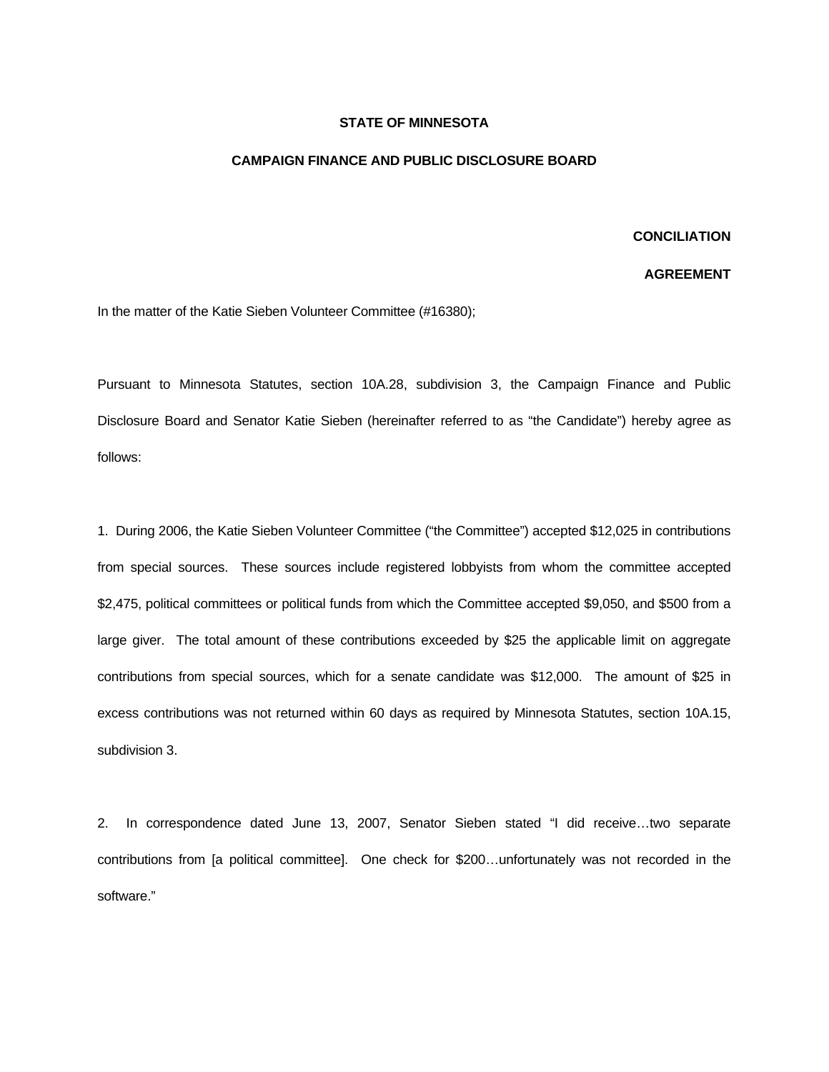## **STATE OF MINNESOTA**

## **CAMPAIGN FINANCE AND PUBLIC DISCLOSURE BOARD**

## **CONCILIATION**

## **AGREEMENT**

In the matter of the Katie Sieben Volunteer Committee (#16380);

Pursuant to Minnesota Statutes, section 10A.28, subdivision 3, the Campaign Finance and Public Disclosure Board and Senator Katie Sieben (hereinafter referred to as "the Candidate") hereby agree as follows:

1. During 2006, the Katie Sieben Volunteer Committee ("the Committee") accepted \$12,025 in contributions from special sources. These sources include registered lobbyists from whom the committee accepted \$2,475, political committees or political funds from which the Committee accepted \$9,050, and \$500 from a large giver. The total amount of these contributions exceeded by \$25 the applicable limit on aggregate contributions from special sources, which for a senate candidate was \$12,000. The amount of \$25 in excess contributions was not returned within 60 days as required by Minnesota Statutes, section 10A.15, subdivision 3.

2. In correspondence dated June 13, 2007, Senator Sieben stated "I did receive…two separate contributions from [a political committee]. One check for \$200…unfortunately was not recorded in the software."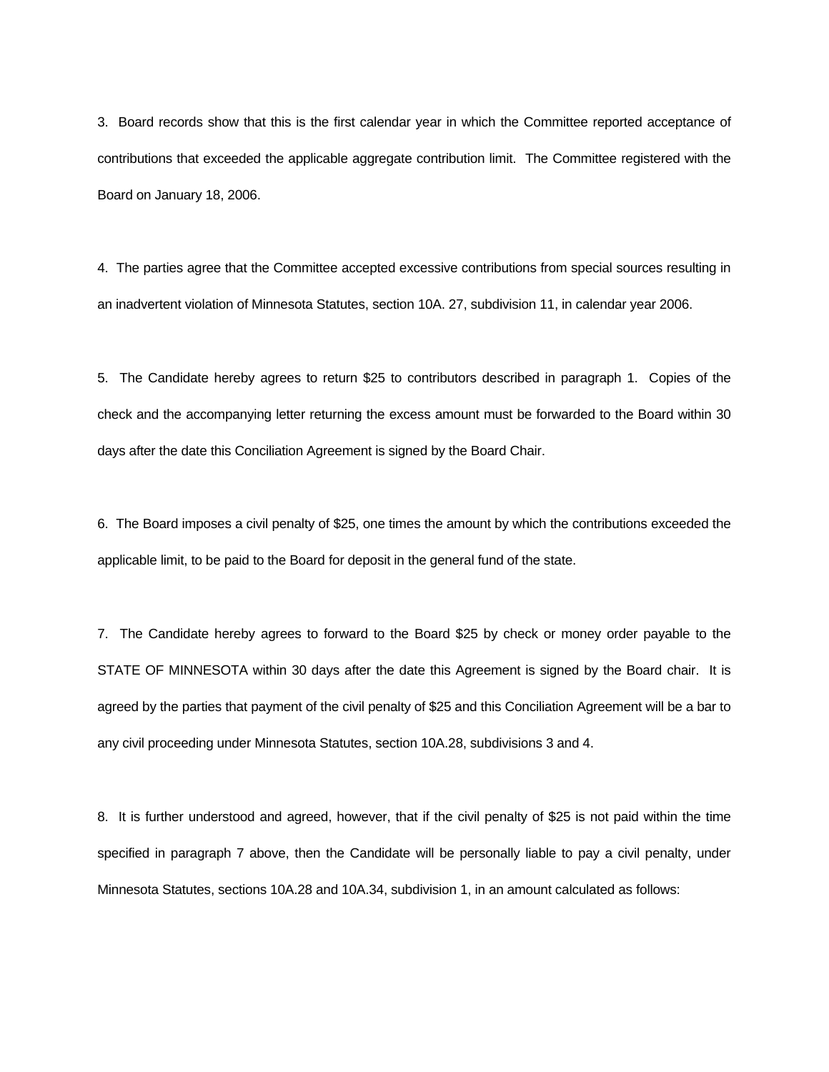3. Board records show that this is the first calendar year in which the Committee reported acceptance of contributions that exceeded the applicable aggregate contribution limit. The Committee registered with the Board on January 18, 2006.

4. The parties agree that the Committee accepted excessive contributions from special sources resulting in an inadvertent violation of Minnesota Statutes, section 10A. 27, subdivision 11, in calendar year 2006.

5. The Candidate hereby agrees to return \$25 to contributors described in paragraph 1. Copies of the check and the accompanying letter returning the excess amount must be forwarded to the Board within 30 days after the date this Conciliation Agreement is signed by the Board Chair.

6. The Board imposes a civil penalty of \$25, one times the amount by which the contributions exceeded the applicable limit, to be paid to the Board for deposit in the general fund of the state.

7. The Candidate hereby agrees to forward to the Board \$25 by check or money order payable to the STATE OF MINNESOTA within 30 days after the date this Agreement is signed by the Board chair. It is agreed by the parties that payment of the civil penalty of \$25 and this Conciliation Agreement will be a bar to any civil proceeding under Minnesota Statutes, section 10A.28, subdivisions 3 and 4.

8. It is further understood and agreed, however, that if the civil penalty of \$25 is not paid within the time specified in paragraph 7 above, then the Candidate will be personally liable to pay a civil penalty, under Minnesota Statutes, sections 10A.28 and 10A.34, subdivision 1, in an amount calculated as follows: